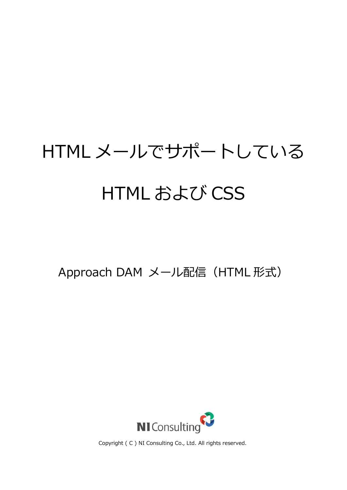## HTML メールでサポートしている HTML および CSS

Approach DAM メール配信 (HTML 形式)



Copyright ( C ) NI Consulting Co., Ltd. All rights reserved.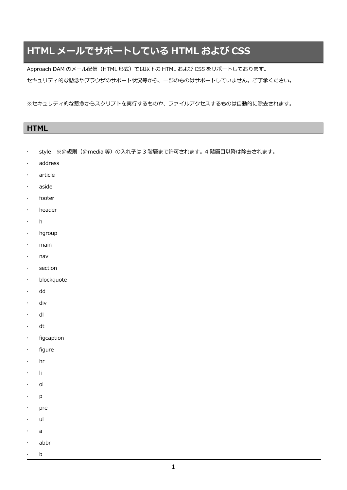## **HTML メールでサポートしている HTML および CSS**

Approach DAM のメール配信(HTML 形式)では以下の HTML および CSS をサポートしております。 セキュリティ的な懸念やブラウザのサポート状況等から、一部のものはサポートしていません。ご了承ください。

※セキュリティ的な懸念からスクリプトを実行するものや、ファイルアクセスするものは自動的に除去されます。

| <b>HTML</b> |  |  |
|-------------|--|--|
|             |  |  |

- · style ※@規則 (@media 等) の入れ子は 3 階層まで許可されます。4 階層目以降は除去されます。
- address

ſ

- article
- aside
- footer
- header
- h
- · hgroup
- main
- nav
- section
- · blockquote
- dd
- div
- · dl
- dt
- $\cdot$  figcaption
- · figure
- hr
- $\cdot$  li
- ol
- $\cdot$  p
- · pre
- . ul
- a
- abbr
- b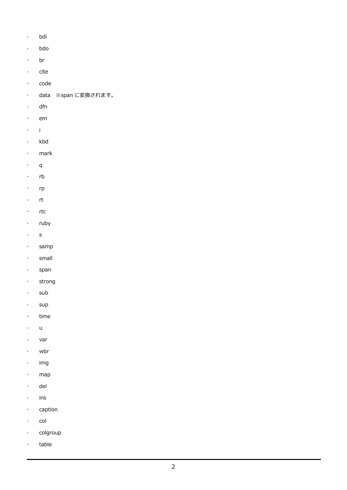- . bdi
- bdo
- . br
- $\cdot$  cite
- $\cdot$  code
- data ※span に変換されます。
- dfn
- $\cdot$  em
- $\cdot$  i
- . kbd
- mark
- $\cdot$  q
- $\cdot$  rb
- · rp
- · rt
- $\cdot$  rtc
- · ruby
- s
- . samp
- . small
- · span
- · strong
- $\cdot$  sub
- · sup
- $\cdot$  time
- u
- var
- wbr
- $\cdot$  img
- map
- del
- $\cdot$  ins
- · caption
- $\cdot$  col
- · colgroup
- · table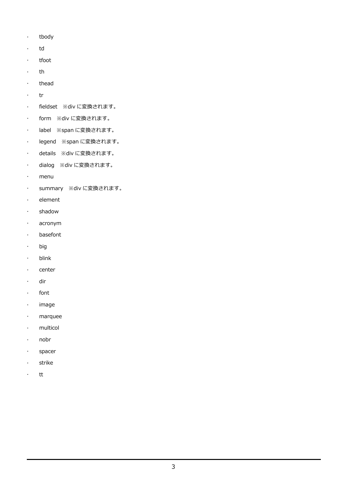- . tbody
- . td
- · tfoot
- $\cdot$  th
- $\cdot$  thead
- $\cdot$  tr
- fieldset ※div に変換されます。
- form ※div に変換されます。
- label ※span に変換されます。
- legend ※span に変換されます。
- details ※div に変換されます。
- dialog ※div に変換されます。
- menu
- summary ※div に変換されます。
- $\cdot$  element
- · shadow
- acronym
- basefont
- . big
- . blink
- · center
- . dir
- $\cdot$  font
- · image
- · marquee
- . multicol
- nobr
- · spacer
- · strike
- . tt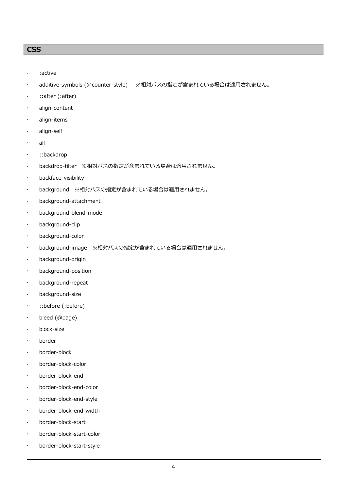## **CSS**

- :active
- additive-symbols (@counter-style) ※相対パスの指定が含まれている場合は適用されません。
- : ::after (:after)
- align-content
- align-items
- align-self
- all
- ::backdrop
- backdrop-filter ※相対パスの指定が含まれている場合は適用されません。
- backface-visibility
- background ※相対パスの指定が含まれている場合は適用されません。
- background-attachment
- background-blend-mode
- background-clip
- background-color
- background-image ※相対パスの指定が含まれている場合は適用されません。
- background-origin
- background-position
- background-repeat
- background-size
- ::before (:before)
- bleed (@page)
- block-size
- border
- border-block
- border-block-color
- border-block-end
- border-block-end-color
- border-block-end-style
- border-block-end-width
- border-block-start
- border-block-start-color
- border-block-start-style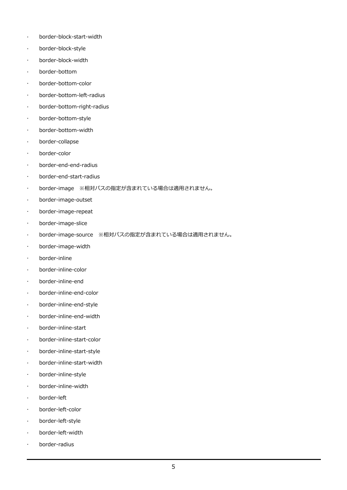- border-block-start-width
- border-block-style
- border-block-width
- border-bottom
- border-bottom-color
- border-bottom-left-radius
- border-bottom-right-radius
- border-bottom-style
- border-bottom-width
- border-collapse
- border-color
- border-end-end-radius
- border-end-start-radius
- border-image ※相対パスの指定が含まれている場合は適用されません。
- border-image-outset
- border-image-repeat
- border-image-slice
- · border-image-source ※相対パスの指定が含まれている場合は適用されません。
- border-image-width
- border-inline
- border-inline-color
- border-inline-end
- border-inline-end-color
- border-inline-end-style
- border-inline-end-width
- border-inline-start
- border-inline-start-color
- border-inline-start-style
- border-inline-start-width
- border-inline-style
- border-inline-width
- border-left
- border-left-color
- border-left-style
- border-left-width
- border-radius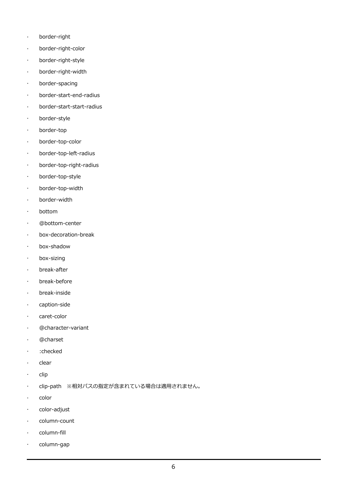- border-right
- border-right-color
- border-right-style
- border-right-width
- border-spacing
- border-start-end-radius
- border-start-start-radius
- border-style
- border-top
- border-top-color
- border-top-left-radius
- border-top-right-radius
- border-top-style
- border-top-width
- border-width
- bottom
- @bottom-center
- box-decoration-break
- box-shadow
- box-sizing
- break-after
- break-before
- break-inside
- caption-side
- · caret-color
- @character-variant
- @charset
- :checked
- $\cdot$  clear
- clip
- clip-path ※相対パスの指定が含まれている場合は適用されません。
- $\cdot$  color
- · color-adjust
- column-count
- column-fill
- column-gap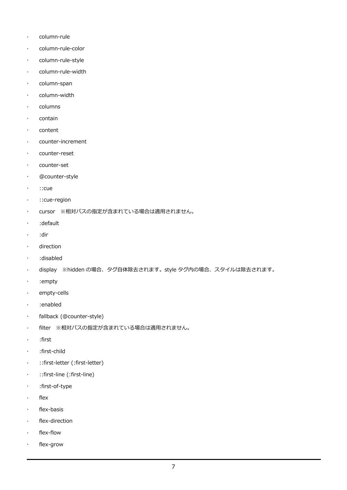- column-rule
- column-rule-color
- column-rule-style
- column-rule-width
- column-span
- · column-width
- columns
- · contain
- · content
- counter-increment
- counter-reset
- counter-set
- @counter-style
- : : : : cue
- ::cue-region
- · cursor ※相対パスの指定が含まれている場合は適用されません。
- :default
- :dir
- direction
- :disabled
- display ※hidden の場合、タグ自体除去されます。style タグ内の場合、スタイルは除去されます。
- :empty
- · empty-cells
- :enabled
- fallback (@counter-style)
- filter ※相対パスの指定が含まれている場合は適用されません。
- :first
- :first-child
- ::first-letter (:first-letter)
- ::first-line (:first-line)
- :first-of-type
- $\cdot$  flex
- $\cdot$  flex-basis
- flex-direction
- flex-flow
- flex-grow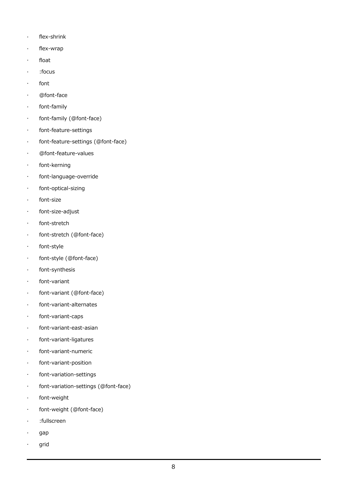- $\cdot$  flex-shrink
- flex-wrap
- float
- :focus
- font
- @font-face
- font-family
- font-family (@font-face)
- font-feature-settings
- font-feature-settings (@font-face)
- @font-feature-values
- font-kerning
- font-language-override
- font-optical-sizing
- font-size
- font-size-adjust
- · font-stretch
- font-stretch (@font-face)
- $\cdot$  font-style
- font-style (@font-face)
- font-synthesis
- font-variant
- font-variant (@font-face)
- font-variant-alternates
- font-variant-caps
- font-variant-east-asian
- font-variant-ligatures
- font-variant-numeric
- font-variant-position
- font-variation-settings
- font-variation-settings (@font-face)
- font-weight
- font-weight (@font-face)
- :fullscreen
- gap
- grid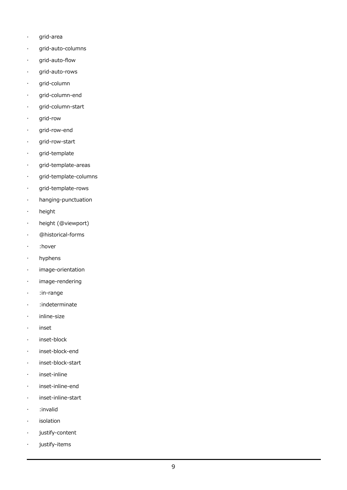- grid-area
- grid-auto-columns
- grid-auto-flow
- grid-auto-rows
- grid-column
- grid-column-end
- grid-column-start
- grid-row
- grid-row-end
- grid-row-start
- · grid-template
- grid-template-areas
- grid-template-columns
- grid-template-rows
- hanging-punctuation
- height
- height (@viewport)
- @historical-forms
- · :hover
- hyphens
- image-orientation
- image-rendering
- :in-range
- :indeterminate
- · inline-size
- · inset
- · inset-block
- inset-block-end
- inset-block-start
- inset-inline
- inset-inline-end
- inset-inline-start
- :invalid
- isolation
- justify-content
- justify-items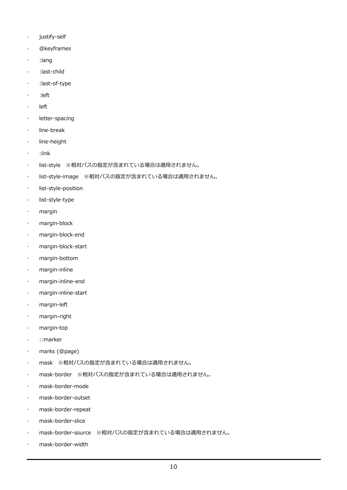- justify-self
- @keyframes
- :lang
- :last-child
- :last-of-type
- :left
- left
- · letter-spacing
- line-break
- **·** line-height
- :link
- list-style ※相対パスの指定が含まれている場合は適用されません。
- list-style-image ※相対パスの指定が含まれている場合は適用されません。
- list-style-position
- list-style-type
- margin
- margin-block
- margin-block-end
- margin-block-start
- margin-bottom
- margin-inline
- margin-inline-end
- margin-inline-start
- margin-left
- margin-right
- margin-top
- · ::marker
- marks (@page)
- mask ※相対パスの指定が含まれている場合は適用されません。
- mask-border ※相対パスの指定が含まれている場合は適用されません。
- mask-border-mode
- mask-border-outset
- mask-border-repeat
- mask-border-slice
- mask-border-source ※相対パスの指定が含まれている場合は適用されません。
- mask-border-width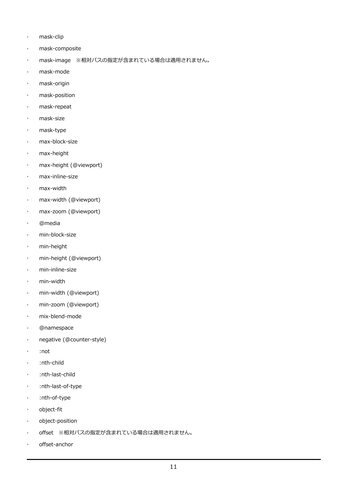- mask-clip
- mask-composite
- mask-image ※相対パスの指定が含まれている場合は適用されません。
- mask-mode
- mask-origin
- mask-position
- mask-repeat
- mask-size
- mask-type
- max-block-size
- max-height
- max-height (@viewport)
- max-inline-size
- max-width
- max-width (@viewport)
- max-zoom (@viewport)
- @media
- min-block-size
- min-height
- min-height (@viewport)
- min-inline-size
- min-width
- min-width (@viewport)
- min-zoom (@viewport)
- mix-blend-mode
- @namespace
- negative (@counter-style)
- :not
- :nth-child
- :nth-last-child
- :nth-last-of-type
- :nth-of-type
- object-fit
- object-position
- offset ※相対パスの指定が含まれている場合は適用されません。
- offset-anchor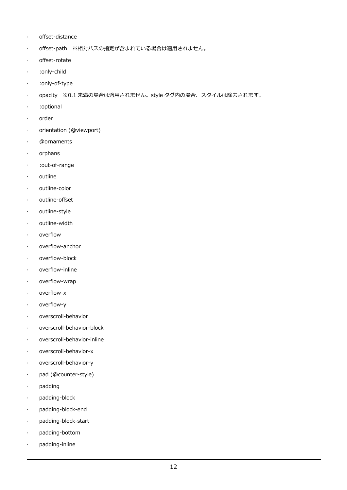- offset-distance
- offset-path ※相対パスの指定が含まれている場合は適用されません。
- offset-rotate
- :only-child
- :only-of-type
- opacity ※0.1 未満の場合は適用されません。style タグ内の場合、スタイルは除去されます。
- :optional
- · order
- orientation (@viewport)
- @ornaments
- orphans
- :out-of-range
- outline
- outline-color
- outline-offset
- outline-style
- outline-width
- overflow
- overflow-anchor
- overflow-block
- overflow-inline
- overflow-wrap
- overflow-x
- overflow-y
- overscroll-behavior
- overscroll-behavior-block
- overscroll-behavior-inline
- overscroll-behavior-x
- overscroll-behavior-y
- pad (@counter-style)
- padding
- padding-block
- padding-block-end
- padding-block-start
- padding-bottom
- padding-inline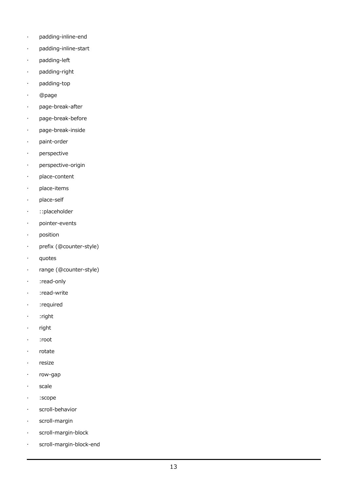- padding-inline-end
- padding-inline-start
- padding-left
- padding-right
- padding-top
- @page
- page-break-after
- page-break-before
- page-break-inside
- paint-order
- perspective
- perspective-origin
- place-content
- place-items
- place-self
- ::placeholder
- pointer-events
- position
- prefix (@counter-style)
- · quotes
- range (@counter-style)
- · :read-only
- :read-write
- · :required
- $\cdot$  : right
- $\cdot$  right
- :root
- $\cdot$  rotate
- · resize
- row-gap
- · scale
- :scope
- scroll-behavior
- scroll-margin
- scroll-margin-block
- scroll-margin-block-end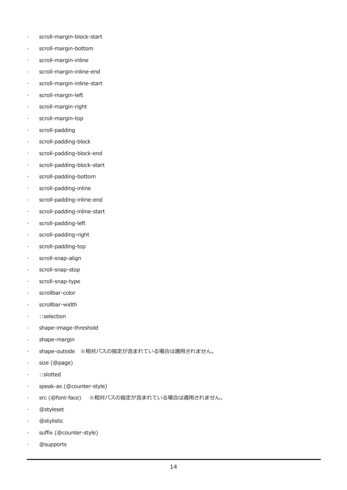- scroll-margin-block-start
- scroll-margin-bottom
- scroll-margin-inline
- scroll-margin-inline-end
- scroll-margin-inline-start
- scroll-margin-left
- scroll-margin-right
- scroll-margin-top
- scroll-padding
- scroll-padding-block
- scroll-padding-block-end
- scroll-padding-block-start
- scroll-padding-bottom
- scroll-padding-inline
- scroll-padding-inline-end
- scroll-padding-inline-start
- scroll-padding-left
- scroll-padding-right
- scroll-padding-top
- scroll-snap-align
- scroll-snap-stop
- scroll-snap-type
- scrollbar-color
- scrollbar-width
- : : : : selection
- shape-image-threshold
- shape-margin
- shape-outside ※相対パスの指定が含まれている場合は適用されません。
- size (@page)
- ::slotted
- speak-as (@counter-style)
- src (@font-face) ※相対パスの指定が含まれている場合は適用されません。
- @styleset
- @stylistic
- suffix (@counter-style)
- @supports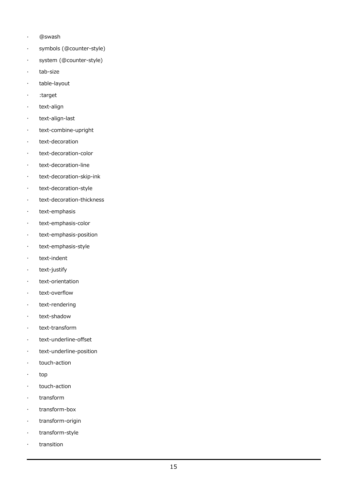- @swash
- symbols (@counter-style)
- system (@counter-style)
- · tab-size
- · table-layout
- · :target
- · text-align
- $\cdot$  text-align-last
- text-combine-upright
- · text-decoration
- text-decoration-color
- text-decoration-line
- text-decoration-skip-ink
- text-decoration-style
- text-decoration-thickness
- · text-emphasis
- text-emphasis-color
- text-emphasis-position
- · text-emphasis-style
- $\cdot$  text-indent
- $\cdot$  text-justify
- · text-orientation
- · text-overflow
- · text-rendering
- · text-shadow
- text-transform
- text-underline-offset
- text-underline-position
- touch-action
- top
- $\cdot$  touch-action
- . transform
- transform-box
- · transform-origin
- transform-style
- transition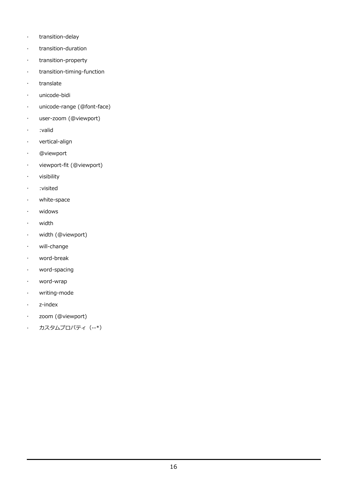- $\cdot$  transition-delay
- transition-duration
- transition-property
- transition-timing-function
- $\cdot$  translate
- unicode-bidi
- unicode-range (@font-face)
- user-zoom (@viewport)
- :valid
- vertical-align
- @viewport
- viewport-fit (@viewport)
- visibility
- :visited
- white-space
- widows
- width
- width (@viewport)
- will-change
- word-break
- word-spacing
- word-wrap
- writing-mode
- z-index
- zoom (@viewport)
- カスタムプロパティ(--\*)